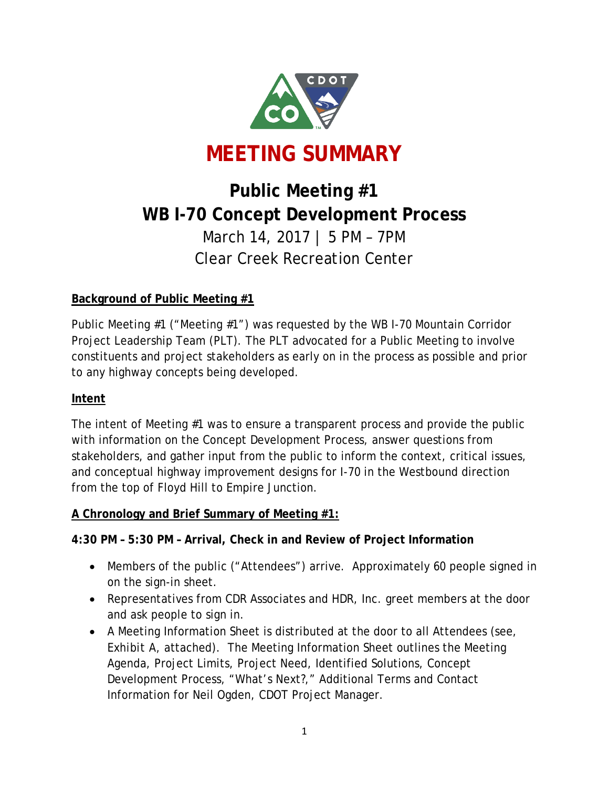

# **Public Meeting #1 WB I-70 Concept Development Process** March 14, 2017 | 5 PM – 7PM Clear Creek Recreation Center

# **Background of Public Meeting #1**

Public Meeting #1 ("Meeting #1") was requested by the WB I-70 Mountain Corridor Project Leadership Team (PLT). The PLT advocated for a Public Meeting to involve constituents and project stakeholders as early on in the process as possible and prior to any highway concepts being developed.

## **Intent**

The intent of Meeting #1 was to ensure a transparent process and provide the public with information on the Concept Development Process, answer questions from stakeholders, and gather input from the public to inform the context, critical issues, and conceptual highway improvement designs for I-70 in the Westbound direction from the top of Floyd Hill to Empire Junction.

#### **A Chronology and Brief Summary of Meeting #1:**

#### **4:30 PM – 5:30 PM – Arrival, Check in and Review of Project Information**

- Members of the public ("Attendees") arrive. Approximately 60 people signed in on the sign-in sheet.
- Representatives from CDR Associates and HDR, Inc. greet members at the door and ask people to sign in.
- A Meeting Information Sheet is distributed at the door to all Attendees (see, *Exhibit A*, attached). The Meeting Information Sheet outlines the Meeting Agenda, Project Limits, Project Need, Identified Solutions, Concept Development Process, "What's Next?," Additional Terms and Contact Information for Neil Ogden, CDOT Project Manager.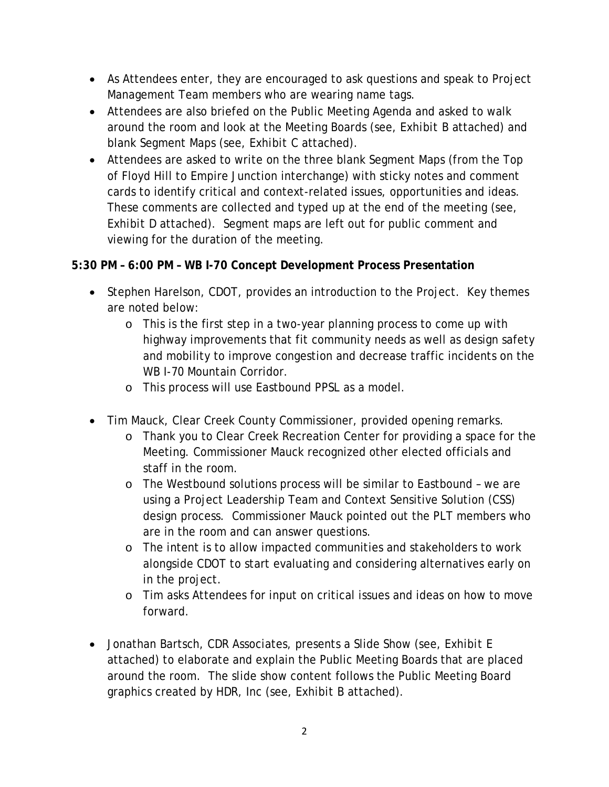- As Attendees enter, they are encouraged to ask questions and speak to Project Management Team members who are wearing name tags.
- Attendees are also briefed on the Public Meeting Agenda and asked to walk around the room and look at the Meeting Boards (see*, Exhibit B* attached) and blank Segment Maps (see, *Exhibit C* attached).
- Attendees are asked to write on the three blank Segment Maps (from the Top of Floyd Hill to Empire Junction interchange) with sticky notes and comment cards to identify critical and context-related issues, opportunities and ideas. These comments are collected and typed up at the end of the meeting (see, *Exhibit D* attached). Segment maps are left out for public comment and viewing for the duration of the meeting.

## **5:30 PM – 6:00 PM – WB I-70 Concept Development Process Presentation**

- Stephen Harelson, CDOT, provides an introduction to the Project. Key themes are noted below:
	- o This is the first step in a two-year planning process to come up with highway improvements that fit community needs as well as design safety and mobility to improve congestion and decrease traffic incidents on the WB I-70 Mountain Corridor.
	- o This process will use Eastbound PPSL as a model.
- Tim Mauck, Clear Creek County Commissioner, provided opening remarks.
	- o Thank you to Clear Creek Recreation Center for providing a space for the Meeting. Commissioner Mauck recognized other elected officials and staff in the room.
	- o The Westbound solutions process will be similar to Eastbound we are using a Project Leadership Team and Context Sensitive Solution (CSS) design process. Commissioner Mauck pointed out the PLT members who are in the room and can answer questions.
	- o The intent is to allow impacted communities and stakeholders to work alongside CDOT to start evaluating and considering alternatives early on in the project.
	- o Tim asks Attendees for input on critical issues and ideas on how to move forward.
- Jonathan Bartsch, CDR Associates, presents a Slide Show (see, *Exhibit E* attached) to elaborate and explain the Public Meeting Boards that are placed around the room. The slide show content follows the Public Meeting Board graphics created by HDR, Inc (see*, Exhibit B* attached).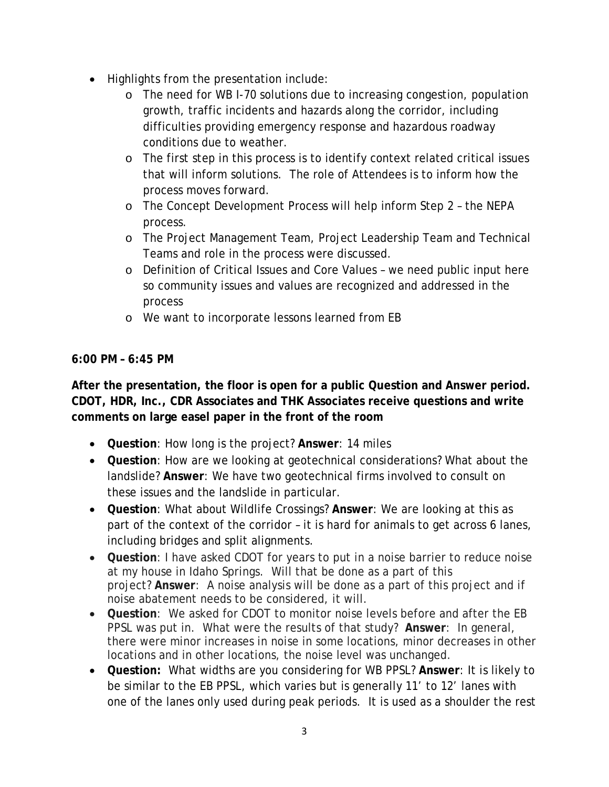- Highlights from the presentation include:
	- o The need for WB I-70 solutions due to increasing congestion, population growth, traffic incidents and hazards along the corridor, including difficulties providing emergency response and hazardous roadway conditions due to weather.
	- o The first step in this process is to identify context related critical issues that will inform solutions. The role of Attendees is to inform how the process moves forward.
	- o The Concept Development Process will help inform Step 2 the NEPA process.
	- o The Project Management Team, Project Leadership Team and Technical Teams and role in the process were discussed.
	- o Definition of Critical Issues and Core Values we need public input here so community issues and values are recognized and addressed in the process
	- o We want to incorporate lessons learned from EB

## **6:00 PM – 6:45 PM**

**After the presentation, the floor is open for a public Question and Answer period. CDOT, HDR, Inc., CDR Associates and THK Associates receive questions and write comments on large easel paper in the front of the room** 

- **Question**: How long is the project? **Answer**: 14 miles
- **Question**: How are we looking at geotechnical considerations? What about the landslide? **Answer**: We have two geotechnical firms involved to consult on these issues and the landslide in particular.
- **Question**: What about Wildlife Crossings? **Answer**: We are looking at this as part of the context of the corridor – it is hard for animals to get across 6 lanes, including bridges and split alignments.
- **Question**: I have asked CDOT for years to put in a noise barrier to reduce noise at my house in Idaho Springs. Will that be done as a part of this project? **Answer**: A noise analysis will be done as a part of this project and if noise abatement needs to be considered, it will.
- **Question**: We asked for CDOT to monitor noise levels before and after the EB PPSL was put in. What were the results of that study? **Answer**: In general, there were minor increases in noise in some locations, minor decreases in other locations and in other locations, the noise level was unchanged.
- **Question:** What widths are you considering for WB PPSL? **Answer**: It is likely to be similar to the EB PPSL, which varies but is generally 11' to 12' lanes with one of the lanes only used during peak periods. It is used as a shoulder the rest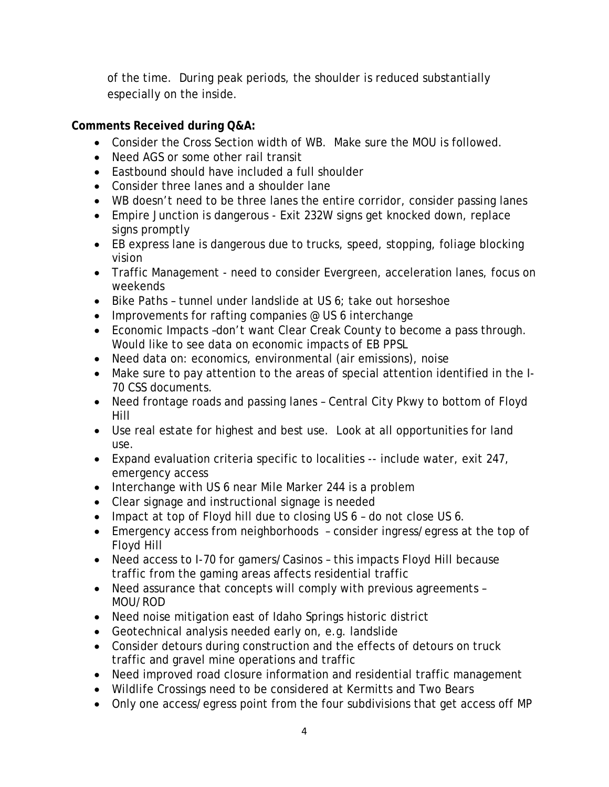of the time. During peak periods, the shoulder is reduced substantially especially on the inside.

## **Comments Received during Q&A:**

- Consider the Cross Section width of WB. Make sure the MOU is followed.
- Need AGS or some other rail transit
- Eastbound should have included a full shoulder
- Consider three lanes and a shoulder lane
- WB doesn't need to be three lanes the entire corridor, consider passing lanes
- Empire Junction is dangerous Exit 232W signs get knocked down, replace signs promptly
- EB express lane is dangerous due to trucks, speed, stopping, foliage blocking vision
- Traffic Management need to consider Evergreen, acceleration lanes, focus on weekends
- Bike Paths tunnel under landslide at US 6; take out horseshoe
- Improvements for rafting companies @ US 6 interchange
- Economic Impacts –don't want Clear Creak County to become a pass through. Would like to see data on economic impacts of EB PPSL
- Need data on: economics, environmental (air emissions), noise
- Make sure to pay attention to the areas of special attention identified in the I-70 CSS documents.
- Need frontage roads and passing lanes Central City Pkwy to bottom of Floyd Hill
- Use real estate for highest and best use. Look at all opportunities for land use.
- Expand evaluation criteria specific to localities -- include water, exit 247, emergency access
- Interchange with US 6 near Mile Marker 244 is a problem
- Clear signage and instructional signage is needed
- Impact at top of Floyd hill due to closing US 6 do not close US 6.
- Emergency access from neighborhoods consider ingress/egress at the top of Floyd Hill
- Need access to I-70 for gamers/Casinos this impacts Floyd Hill because traffic from the gaming areas affects residential traffic
- Need assurance that concepts will comply with previous agreements MOU/ROD
- Need noise mitigation east of Idaho Springs historic district
- Geotechnical analysis needed early on, e.g. landslide
- Consider detours during construction and the effects of detours on truck traffic and gravel mine operations and traffic
- Need improved road closure information and residential traffic management
- Wildlife Crossings need to be considered at Kermitts and Two Bears
- Only one access/egress point from the four subdivisions that get access off MP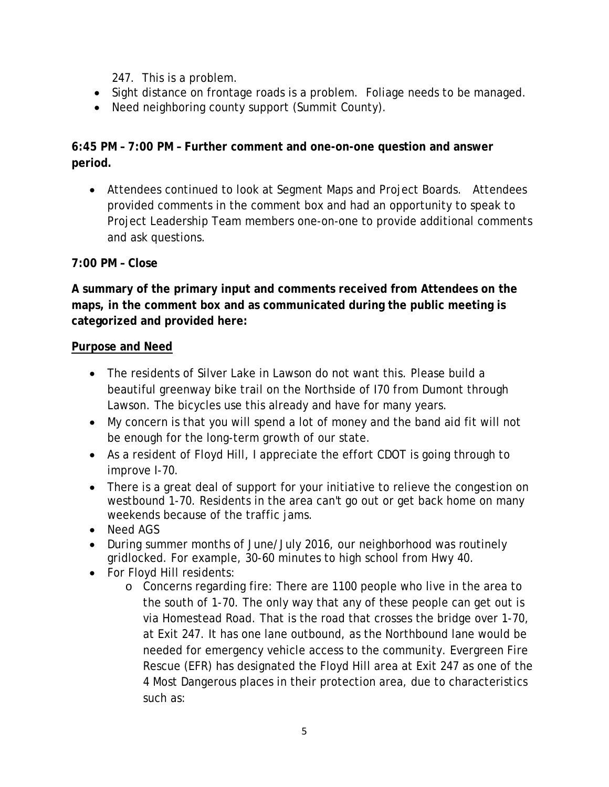247. This is a problem.

- Sight distance on frontage roads is a problem. Foliage needs to be managed.
- Need neighboring county support (Summit County).

#### **6:45 PM – 7:00 PM – Further comment and one-on-one question and answer period.**

• Attendees continued to look at Segment Maps and Project Boards. Attendees provided comments in the comment box and had an opportunity to speak to Project Leadership Team members one-on-one to provide additional comments and ask questions.

#### **7:00 PM – Close**

**A summary of the primary input and comments received from Attendees on the maps, in the comment box and as communicated during the public meeting is categorized and provided here:**

#### **Purpose and Need**

- The residents of Silver Lake in Lawson do not want this. Please build a beautiful greenway bike trail on the Northside of I70 from Dumont through Lawson. The bicycles use this already and have for many years.
- My concern is that you will spend a lot of money and the band aid fit will not be enough for the long-term growth of our state.
- As a resident of Floyd Hill, I appreciate the effort CDOT is going through to improve I-70.
- There is a great deal of support for your initiative to relieve the congestion on westbound 1-70. Residents in the area can't go out or get back home on many weekends because of the traffic jams.
- Need AGS
- During summer months of June/July 2016, our neighborhood was routinely gridlocked. For example, 30-60 minutes to high school from Hwy 40.
- For Floyd Hill residents:
	- o Concerns regarding fire: There are 1100 people who live in the area to the south of 1-70. The only way that any of these people can get out is via Homestead Road. That is the road that crosses the bridge over 1-70, at Exit 247. It has one lane outbound, as the Northbound lane would be needed for emergency vehicle access to the community. Evergreen Fire Rescue (EFR) has designated the Floyd Hill area at Exit 247 as one of the 4 Most Dangerous places in their protection area, due to characteristics such as: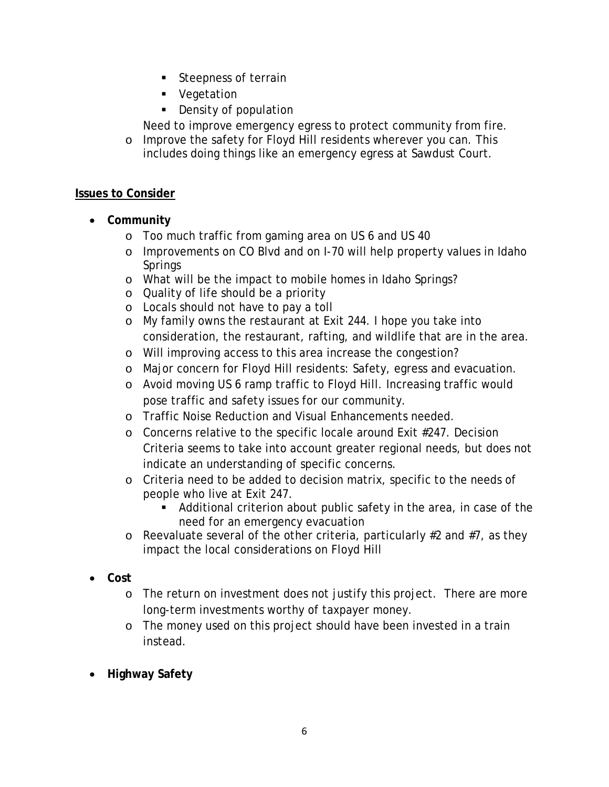- **Steepness of terrain**
- **vegetation**
- Density of population

Need to improve emergency egress to protect community from fire.

o Improve the safety for Floyd Hill residents wherever you can. This includes doing things like an emergency egress at Sawdust Court.

#### **Issues to Consider**

- **Community**
	- o Too much traffic from gaming area on US 6 and US 40
	- o Improvements on CO Blvd and on I-70 will help property values in Idaho **Springs**
	- o What will be the impact to mobile homes in Idaho Springs?
	- o Quality of life should be a priority
	- o Locals should not have to pay a toll
	- o My family owns the restaurant at Exit 244. I hope you take into consideration, the restaurant, rafting, and wildlife that are in the area.
	- o Will improving access to this area increase the congestion?
	- o Major concern for Floyd Hill residents: Safety, egress and evacuation.
	- o Avoid moving US 6 ramp traffic to Floyd Hill. Increasing traffic would pose traffic and safety issues for our community.
	- o Traffic Noise Reduction and Visual Enhancements needed.
	- $\circ$  Concerns relative to the specific locale around Exit #247. Decision Criteria seems to take into account greater regional needs, but does not indicate an understanding of specific concerns.
	- o Criteria need to be added to decision matrix, specific to the needs of people who live at Exit 247.
		- Additional criterion about public safety in the area, in case of the need for an emergency evacuation
	- o Reevaluate several of the other criteria, particularly #2 and #7, as they impact the local considerations on Floyd Hill
- **Cost** 
	- o The return on investment does not justify this project. There are more long-term investments worthy of taxpayer money.
	- o The money used on this project should have been invested in a train instead.
- **Highway Safety**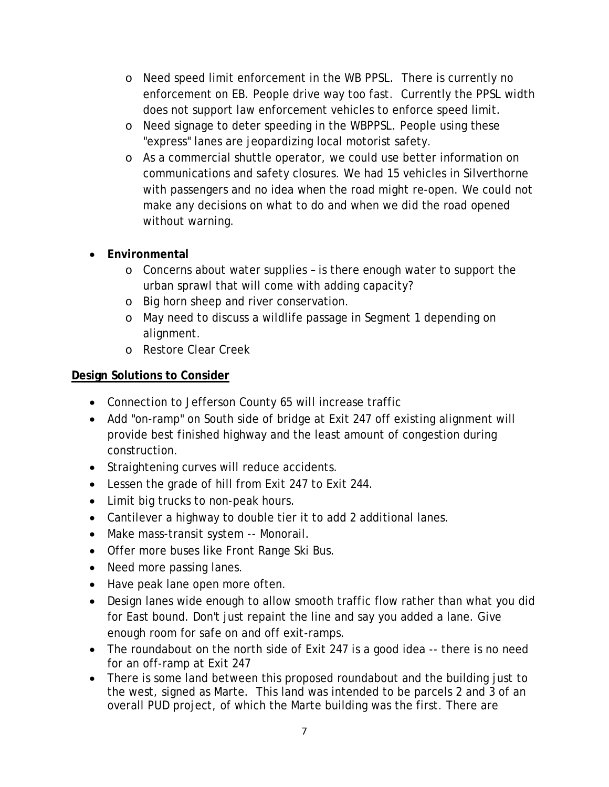- o Need speed limit enforcement in the WB PPSL. There is currently no enforcement on EB. People drive way too fast. Currently the PPSL width does not support law enforcement vehicles to enforce speed limit.
- o Need signage to deter speeding in the WBPPSL. People using these "express" lanes are jeopardizing local motorist safety.
- o As a commercial shuttle operator, we could use better information on communications and safety closures. We had 15 vehicles in Silverthorne with passengers and no idea when the road might re-open. We could not make any decisions on what to do and when we did the road opened without warning.

#### • **Environmental**

- $\circ$  Concerns about water supplies is there enough water to support the urban sprawl that will come with adding capacity?
- o Big horn sheep and river conservation.
- o May need to discuss a wildlife passage in Segment 1 depending on alignment.
- o Restore Clear Creek

#### **Design Solutions to Consider**

- Connection to Jefferson County 65 will increase traffic
- Add "on-ramp" on South side of bridge at Exit 247 off existing alignment will provide best finished highway and the least amount of congestion during construction.
- Straightening curves will reduce accidents.
- Lessen the grade of hill from Exit 247 to Exit 244.
- Limit big trucks to non-peak hours.
- Cantilever a highway to double tier it to add 2 additional lanes.
- Make mass-transit system -- Monorail.
- Offer more buses like Front Range Ski Bus.
- Need more passing lanes.
- Have peak lane open more often.
- Design lanes wide enough to allow smooth traffic flow rather than what you did for East bound. Don't just repaint the line and say you added a lane. Give enough room for safe on and off exit-ramps.
- The roundabout on the north side of Exit 247 is a good idea -- there is no need for an off-ramp at Exit 247
- There is some land between this proposed roundabout and the building just to the west, signed as Marte. This land was intended to be parcels 2 and 3 of an overall PUD project, of which the Marte building was the first. There are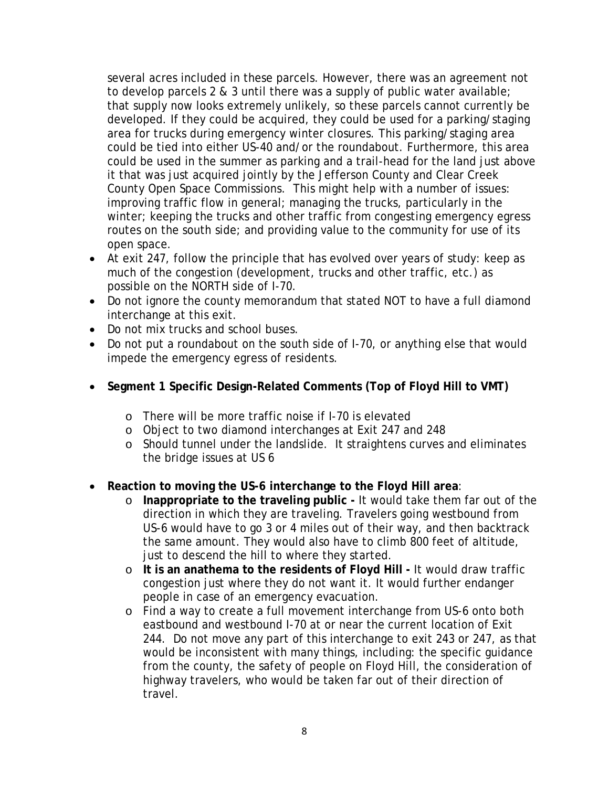several acres included in these parcels. However, there was an agreement not to develop parcels 2 & 3 until there was a supply of public water available; that supply now looks extremely unlikely, so these parcels cannot currently be developed. If they could be acquired, they could be used for a parking/staging area for trucks during emergency winter closures. This parking/staging area could be tied into either US-40 and/or the roundabout. Furthermore, this area could be used in the summer as parking and a trail-head for the land just above it that was just acquired jointly by the Jefferson County and Clear Creek County Open Space Commissions. This might help with a number of issues: improving traffic flow in general; managing the trucks, particularly in the winter; keeping the trucks and other traffic from congesting emergency egress routes on the south side; and providing value to the community for use of its open space.

- At exit 247, follow the principle that has evolved over years of study: keep as much of the congestion (development, trucks and other traffic, etc.) as possible on the NORTH side of I-70.
- Do not ignore the county memorandum that stated NOT to have a full diamond interchange at this exit.
- Do not mix trucks and school buses.
- Do not put a roundabout on the south side of I-70, or anything else that would impede the emergency egress of residents.
- **Segment 1 Specific Design-Related Comments (Top of Floyd Hill to VMT)**
	- o There will be more traffic noise if I-70 is elevated
	- o Object to two diamond interchanges at Exit 247 and 248
	- o Should tunnel under the landslide. It straightens curves and eliminates the bridge issues at US 6
- **Reaction to moving the US-6 interchange to the Floyd Hill area**:
	- o **Inappropriate to the traveling public -** It would take them far out of the direction in which they are traveling. Travelers going westbound from US-6 would have to go 3 or 4 miles out of their way, and then backtrack the same amount. They would also have to climb 800 feet of altitude, just to descend the hill to where they started.
	- o **It is an anathema to the residents of Floyd Hill -** It would draw traffic congestion just where they do not want it. It would further endanger people in case of an emergency evacuation.
	- o Find a way to create a full movement interchange from US-6 onto both eastbound and westbound I-70 at or near the current location of Exit 244. Do not move any part of this interchange to exit 243 or 247, as that would be inconsistent with many things, including: the specific guidance from the county, the safety of people on Floyd Hill, the consideration of highway travelers, who would be taken far out of their direction of travel.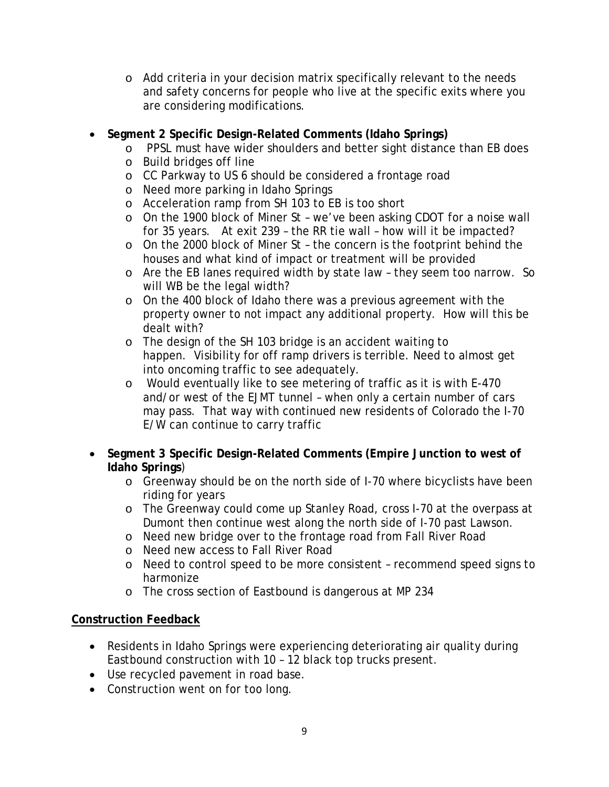o Add criteria in your decision matrix specifically relevant to the needs and safety concerns for people who live at the specific exits where you are considering modifications.

#### • **Segment 2 Specific Design-Related Comments (Idaho Springs)**

- o PPSL must have wider shoulders and better sight distance than EB does
- o Build bridges off line
- o CC Parkway to US 6 should be considered a frontage road
- o Need more parking in Idaho Springs
- o Acceleration ramp from SH 103 to EB is too short
- o On the 1900 block of Miner St we've been asking CDOT for a noise wall for 35 years. At exit 239 – the RR tie wall – how will it be impacted?
- o On the 2000 block of Miner St the concern is the footprint behind the houses and what kind of impact or treatment will be provided
- o Are the EB lanes required width by state law they seem too narrow. So will WB be the legal width?
- o On the 400 block of Idaho there was a previous agreement with the property owner to not impact any additional property. How will this be dealt with?
- o The design of the SH 103 bridge is an accident waiting to happen. Visibility for off ramp drivers is terrible. Need to almost get into oncoming traffic to see adequately.
- o Would eventually like to see metering of traffic as it is with E-470 and/or west of the EJMT tunnel – when only a certain number of cars may pass. That way with continued new residents of Colorado the I-70 E/W can continue to carry traffic
- **Segment 3 Specific Design-Related Comments (Empire Junction to west of Idaho Springs**)
	- o Greenway should be on the north side of I-70 where bicyclists have been riding for years
	- o The Greenway could come up Stanley Road, cross I-70 at the overpass at Dumont then continue west along the north side of I-70 past Lawson.
	- o Need new bridge over to the frontage road from Fall River Road
	- o Need new access to Fall River Road
	- o Need to control speed to be more consistent recommend speed signs to harmonize
	- o The cross section of Eastbound is dangerous at MP 234

## **Construction Feedback**

- Residents in Idaho Springs were experiencing deteriorating air quality during Eastbound construction with 10 – 12 black top trucks present.
- Use recycled pavement in road base.
- Construction went on for too long.